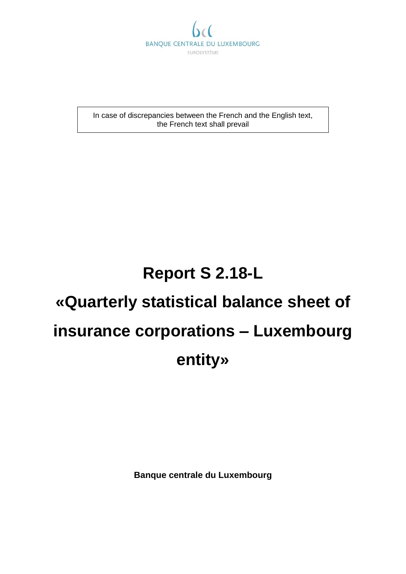

In case of discrepancies between the French and the English text, the French text shall prevail

# **Report S 2.18-L**

# **«Quarterly statistical balance sheet of insurance corporations – Luxembourg entity»**

**Banque centrale du Luxembourg**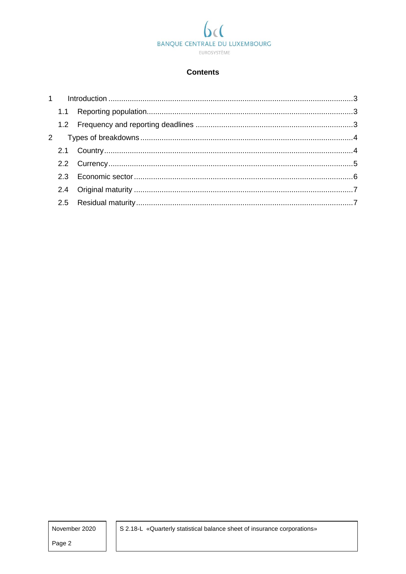# BANQUE CENTRALE DU LUXEMBOURG EUROSYSTÈME

#### **Contents**

November 2020

Page 2

S 2.18-L «Quarterly statistical balance sheet of insurance corporations»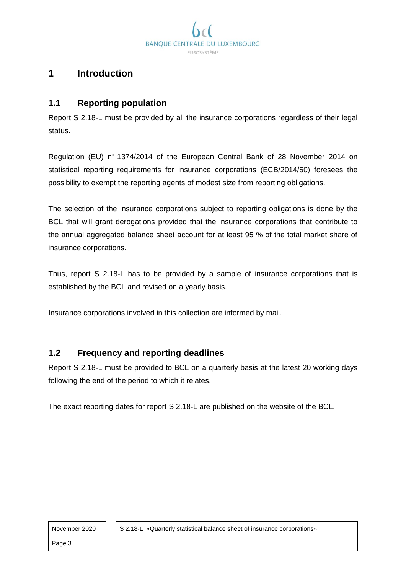**BANOUE CENTR OU LUXEMBOURG FUROSYSTÈME** 

## <span id="page-2-0"></span>**1 Introduction**

#### <span id="page-2-1"></span>**1.1 Reporting population**

Report S 2.18-L must be provided by all the insurance corporations regardless of their legal status.

Regulation (EU) n° 1374/2014 of the European Central Bank of 28 November 2014 on statistical reporting requirements for insurance corporations (ECB/2014/50) foresees the possibility to exempt the reporting agents of modest size from reporting obligations.

The selection of the insurance corporations subject to reporting obligations is done by the BCL that will grant derogations provided that the insurance corporations that contribute to the annual aggregated balance sheet account for at least 95 % of the total market share of insurance corporations.

Thus, report S 2.18-L has to be provided by a sample of insurance corporations that is established by the BCL and revised on a yearly basis.

Insurance corporations involved in this collection are informed by mail.

#### <span id="page-2-2"></span>**1.2 Frequency and reporting deadlines**

Report S 2.18-L must be provided to BCL on a quarterly basis at the latest 20 working days following the end of the period to which it relates.

The exact reporting dates for report S 2.18-L are published on the website of the BCL.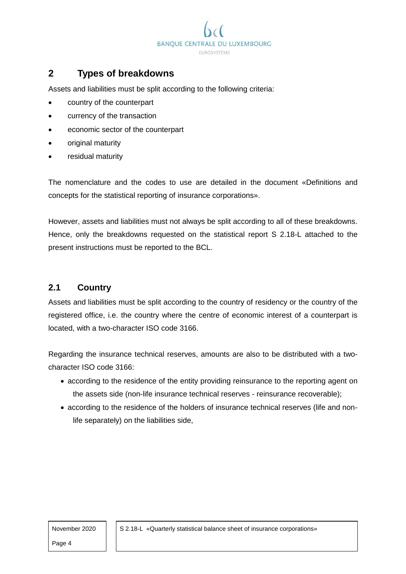

# <span id="page-3-0"></span>**2 Types of breakdowns**

Assets and liabilities must be split according to the following criteria:

- country of the counterpart
- currency of the transaction
- economic sector of the counterpart
- original maturity
- residual maturity

The nomenclature and the codes to use are detailed in the document «Definitions and concepts for the statistical reporting of insurance corporations».

However, assets and liabilities must not always be split according to all of these breakdowns. Hence, only the breakdowns requested on the statistical report S 2.18-L attached to the present instructions must be reported to the BCL.

#### <span id="page-3-1"></span>**2.1 Country**

Assets and liabilities must be split according to the country of residency or the country of the registered office, i.e. the country where the centre of economic interest of a counterpart is located, with a two-character ISO code 3166.

Regarding the insurance technical reserves, amounts are also to be distributed with a twocharacter ISO code 3166:

- according to the residence of the entity providing reinsurance to the reporting agent on the assets side (non-life insurance technical reserves - reinsurance recoverable);
- according to the residence of the holders of insurance technical reserves (life and nonlife separately) on the liabilities side,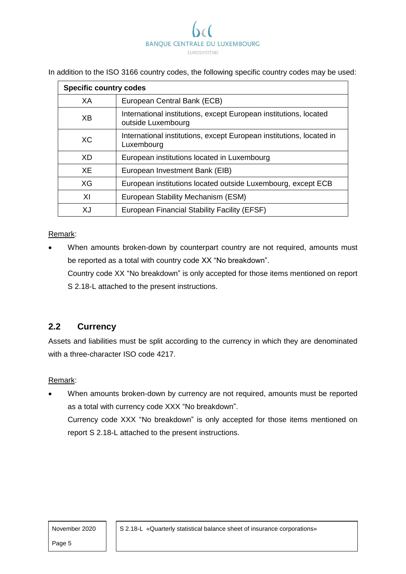

In addition to the ISO 3166 country codes, the following specific country codes may be used:

| <b>Specific country codes</b> |                                                                                         |  |  |  |
|-------------------------------|-----------------------------------------------------------------------------------------|--|--|--|
| XA                            | European Central Bank (ECB)                                                             |  |  |  |
| XB                            | International institutions, except European institutions, located<br>outside Luxembourg |  |  |  |
| XC.                           | International institutions, except European institutions, located in<br>Luxembourg      |  |  |  |
| XD.                           | European institutions located in Luxembourg                                             |  |  |  |
| XE                            | European Investment Bank (EIB)                                                          |  |  |  |
| XG                            | European institutions located outside Luxembourg, except ECB                            |  |  |  |
| XI                            | European Stability Mechanism (ESM)                                                      |  |  |  |
| XJ                            | European Financial Stability Facility (EFSF)                                            |  |  |  |

#### Remark:

 When amounts broken-down by counterpart country are not required, amounts must be reported as a total with country code XX "No breakdown".

Country code XX "No breakdown" is only accepted for those items mentioned on report S 2.18-L attached to the present instructions.

#### <span id="page-4-0"></span>**2.2 Currency**

Assets and liabilities must be split according to the currency in which they are denominated with a three-character ISO code 4217.

#### Remark:

 When amounts broken-down by currency are not required, amounts must be reported as a total with currency code XXX "No breakdown". Currency code XXX "No breakdown" is only accepted for those items mentioned on report S 2.18-L attached to the present instructions.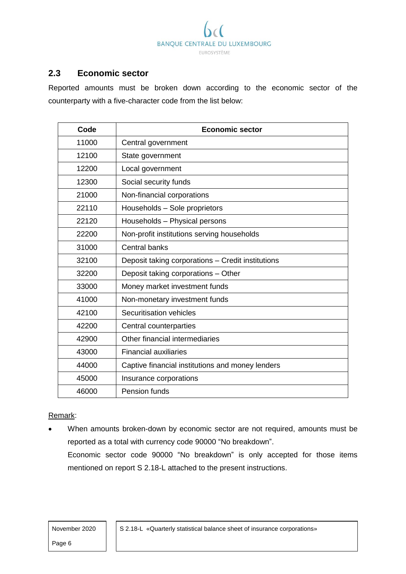

### <span id="page-5-0"></span>**2.3 Economic sector**

Reported amounts must be broken down according to the economic sector of the counterparty with a five-character code from the list below:

| Code  | <b>Economic sector</b>                            |
|-------|---------------------------------------------------|
| 11000 | Central government                                |
| 12100 | State government                                  |
| 12200 | Local government                                  |
| 12300 | Social security funds                             |
| 21000 | Non-financial corporations                        |
| 22110 | Households - Sole proprietors                     |
| 22120 | Households - Physical persons                     |
| 22200 | Non-profit institutions serving households        |
| 31000 | Central banks                                     |
| 32100 | Deposit taking corporations - Credit institutions |
| 32200 | Deposit taking corporations - Other               |
| 33000 | Money market investment funds                     |
| 41000 | Non-monetary investment funds                     |
| 42100 | Securitisation vehicles                           |
| 42200 | Central counterparties                            |
| 42900 | Other financial intermediaries                    |
| 43000 | <b>Financial auxiliaries</b>                      |
| 44000 | Captive financial institutions and money lenders  |
| 45000 | Insurance corporations                            |
| 46000 | Pension funds                                     |

#### Remark:

 When amounts broken-down by economic sector are not required, amounts must be reported as a total with currency code 90000 "No breakdown". Economic sector code 90000 "No breakdown" is only accepted for those items mentioned on report S 2.18-L attached to the present instructions.